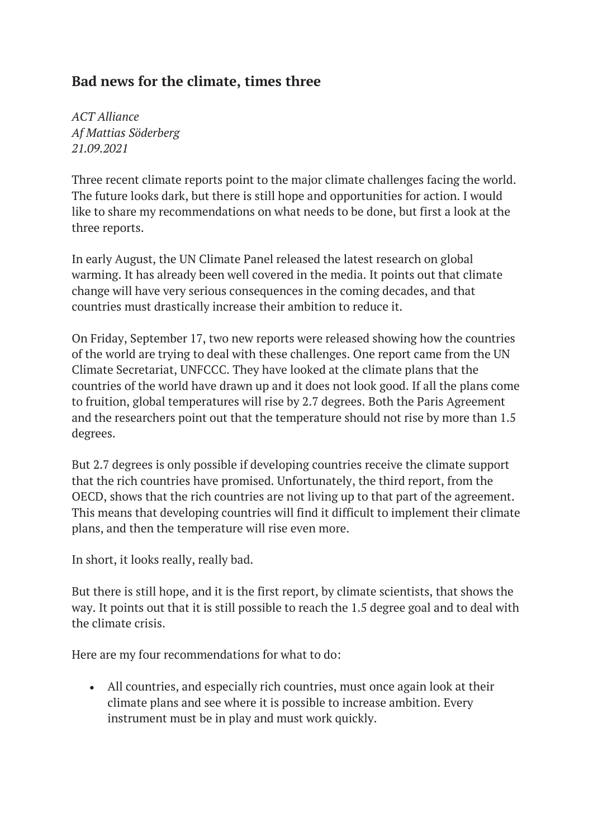## **Bad news for the climate, times three**

*ACT Alliance Af Mattias Söderberg 21.09.2021*

Three recent climate reports point to the major climate challenges facing the world. The future looks dark, but there is still hope and opportunities for action. I would like to share my recommendations on what needs to be done, but first a look at the three reports.

In early August, the UN Climate Panel released the latest research on global warming. It has already been well covered in the media. It points out that climate change will have very serious consequences in the coming decades, and that countries must drastically increase their ambition to reduce it.

On Friday, September 17, two new reports were released showing how the countries of the world are trying to deal with these challenges. One report came from the UN Climate Secretariat, UNFCCC. They have looked at the climate plans that the countries of the world have drawn up and it does not look good. If all the plans come to fruition, global temperatures will rise by 2.7 degrees. Both the Paris Agreement and the researchers point out that the temperature should not rise by more than 1.5 degrees.

But 2.7 degrees is only possible if developing countries receive the climate support that the rich countries have promised. Unfortunately, the third report, from the OECD, shows that the rich countries are not living up to that part of the agreement. This means that developing countries will find it difficult to implement their climate plans, and then the temperature will rise even more.

In short, it looks really, really bad.

But there is still hope, and it is the first report, by climate scientists, that shows the way. It points out that it is still possible to reach the 1.5 degree goal and to deal with the climate crisis.

Here are my four recommendations for what to do:

• All countries, and especially rich countries, must once again look at their climate plans and see where it is possible to increase ambition. Every instrument must be in play and must work quickly.